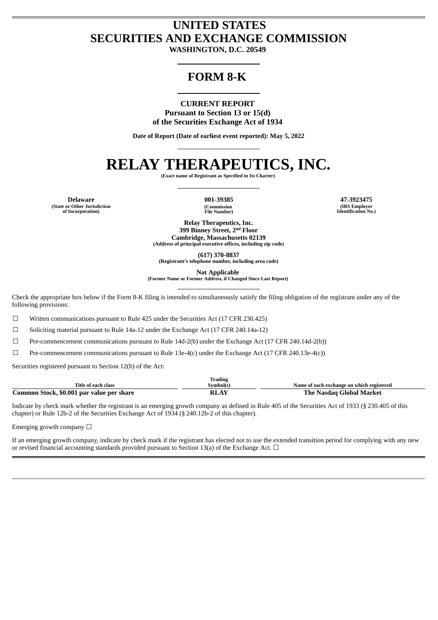## **UNITED STATES SECURITIES AND EXCHANGE COMMISSION**

**WASHINGTON, D.C. 20549**

### **FORM 8-K**

**CURRENT REPORT Pursuant to Section 13 or 15(d) of the Securities Exchange Act of 1934**

**Date of Report (Date of earliest event reported): May 5, 2022**

# **RELAY THERAPEUTICS, INC.**

**(Exact name of Registrant as Specified in Its Charter)**

**Delaware 001-39385 47-3923475 (State or Other Jurisdiction of Incorporation)**

**(Commission File Number)**

**(IRS Employer Identification No.)**

**Relay Therapeutics, Inc. 399 Binney Street, 2 nd Floor Cambridge, Massachusetts 02139 (Address of principal executive offices, including zip code)**

**(617) 370-8837**

**(Registrant's telephone number, including area code)**

**Not Applicable**

**(Former Name or Former Address, if Changed Since Last Report)**

Check the appropriate box below if the Form 8-K filing is intended to simultaneously satisfy the filing obligation of the registrant under any of the following provisions:

 $\Box$  Written communications pursuant to Rule 425 under the Securities Act (17 CFR 230.425)

☐ Soliciting material pursuant to Rule 14a-12 under the Exchange Act (17 CFR 240.14a-12)

☐ Pre-commencement communications pursuant to Rule 14d-2(b) under the Exchange Act (17 CFR 240.14d-2(b))

☐ Pre-commencement communications pursuant to Rule 13e-4(c) under the Exchange Act (17 CFR 240.13e-4(c))

Securities registered pursuant to Section 12(b) of the Act:

|                                           | <b>Trading</b> |                                           |
|-------------------------------------------|----------------|-------------------------------------------|
| Title of each class                       | Symbol(s)      | Name of each exchange on which registered |
| Common Stock, \$0.001 par value per share | <b>RLAY</b>    | The Nasdag Global Market                  |

Indicate by check mark whether the registrant is an emerging growth company as defined in Rule 405 of the Securities Act of 1933 (§ 230.405 of this chapter) or Rule 12b-2 of the Securities Exchange Act of 1934 (§ 240.12b-2 of this chapter).

Emerging growth company □

If an emerging growth company, indicate by check mark if the registrant has elected not to use the extended transition period for complying with any new or revised financial accounting standards provided pursuant to Section 13(a) of the Exchange Act.  $\Box$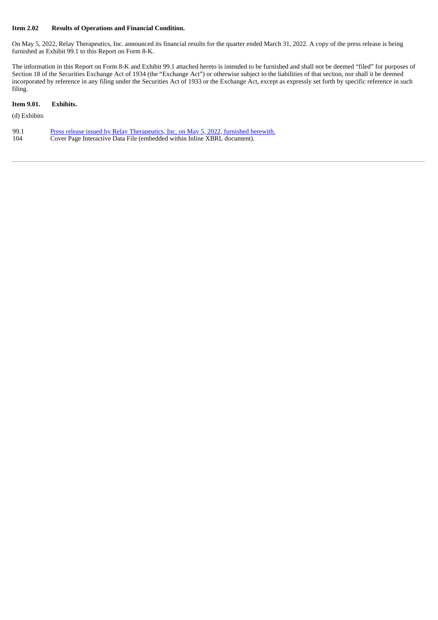#### **Item 2.02 Results of Operations and Financial Condition.**

On May 5, 2022, Relay Therapeutics, Inc. announced its financial results for the quarter ended March 31, 2022. A copy of the press release is being furnished as Exhibit 99.1 to this Report on Form 8-K.

The information in this Report on Form 8-K and Exhibit 99.1 attached hereto is intended to be furnished and shall not be deemed "filed" for purposes of Section 18 of the Securities Exchange Act of 1934 (the "Exchange Act") or otherwise subject to the liabilities of that section, nor shall it be deemed incorporated by reference in any filing under the Securities Act of 1933 or the Exchange Act, except as expressly set forth by specific reference in such filing.

#### **Item 9.01. Exhibits.**

(d) Exhibits

| 99.1 | <u>Press release issued by Relay Therapeutics, Inc. on May 5, 2022, furnished herewith.</u> |
|------|---------------------------------------------------------------------------------------------|
| 104  | Cover Page Interactive Data File (embedded within Inline XBRL document).                    |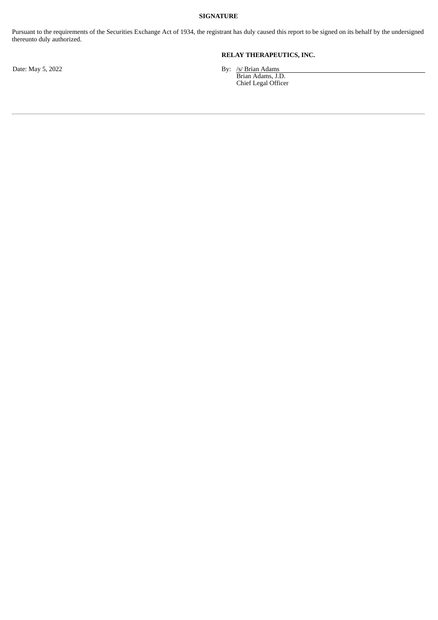#### **SIGNATURE**

Pursuant to the requirements of the Securities Exchange Act of 1934, the registrant has duly caused this report to be signed on its behalf by the undersigned thereunto duly authorized.

**RELAY THERAPEUTICS, INC.**

Date: May 5, 2022 **By: 1998** By: 150 By: 150 By: 150 By: 150 By: 150 By: 150 By: 150 By: 150 By: 150 By: 150 By: 150 By: 150 By: 150 By: 150 By: 150 By: 150 By: 150 By: 150 By: 150 By: 150 By: 150 By: 150 By: 150 By: 150 B

Brian Adams, J.D. Chief Legal Officer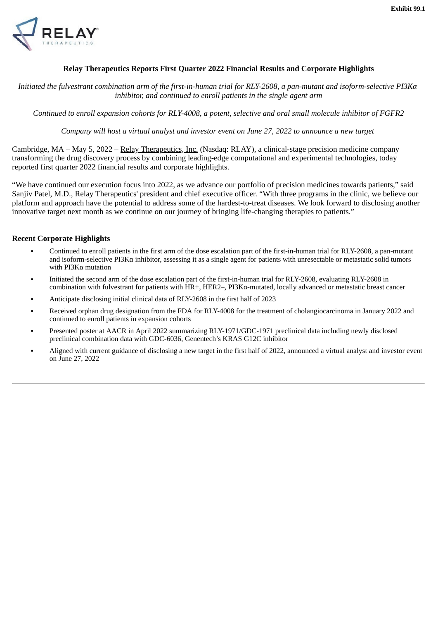<span id="page-3-0"></span>

#### **Relay Therapeutics Reports First Quarter 2022 Financial Results and Corporate Highlights**

*Initiated the fulvestrant combination arm of the first-in-human trial for RLY-2608, a pan-mutant and isoform-selective PI3Kα inhibitor, and continued to enroll patients in the single agent arm*

*Continued to enroll expansion cohorts for RLY-4008, a potent, selective and oral small molecule inhibitor of FGFR2*

*Company will host a virtual analyst and investor event on June 27, 2022 to announce a new target*

Cambridge, MA – May 5, 2022 – Relay Therapeutics, Inc. (Nasdaq: RLAY), a clinical-stage precision medicine company transforming the drug discovery process by combining leading-edge computational and experimental technologies, today reported first quarter 2022 financial results and corporate highlights.

"We have continued our execution focus into 2022, as we advance our portfolio of precision medicines towards patients," said Sanjiv Patel, M.D., Relay Therapeutics' president and chief executive officer. "With three programs in the clinic, we believe our platform and approach have the potential to address some of the hardest-to-treat diseases. We look forward to disclosing another innovative target next month as we continue on our journey of bringing life-changing therapies to patients."

#### **Recent Corporate Highlights**

- Continued to enroll patients in the first arm of the dose escalation part of the first-in-human trial for RLY-2608, a pan-mutant and isoform-selective PI3Kα inhibitor, assessing it as a single agent for patients with unresectable or metastatic solid tumors with PI3Kα mutation
- Initiated the second arm of the dose escalation part of the first-in-human trial for RLY-2608, evaluating RLY-2608 in combination with fulvestrant for patients with HR+, HER2–, PI3Kα-mutated, locally advanced or metastatic breast cancer
- Anticipate disclosing initial clinical data of RLY-2608 in the first half of 2023
- Received orphan drug designation from the FDA for RLY-4008 for the treatment of cholangiocarcinoma in January 2022 and continued to enroll patients in expansion cohorts
- Presented poster at AACR in April 2022 summarizing RLY-1971/GDC-1971 preclinical data including newly disclosed preclinical combination data with GDC-6036, Genentech's KRAS G12C inhibitor
- Aligned with current guidance of disclosing a new target in the first half of 2022, announced a virtual analyst and investor event on June 27, 2022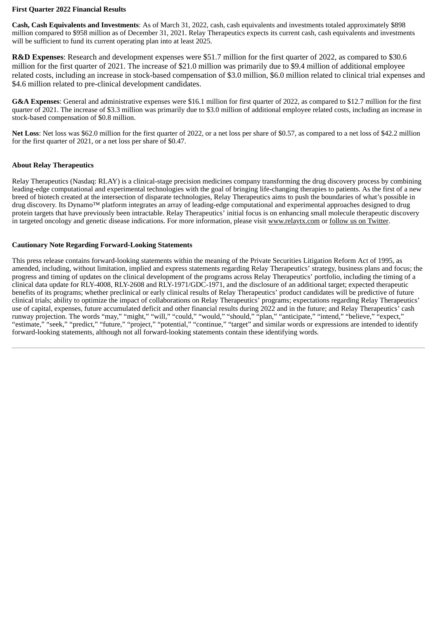#### **First Quarter 2022 Financial Results**

**Cash, Cash Equivalents and Investments**: As of March 31, 2022, cash, cash equivalents and investments totaled approximately \$898 million compared to \$958 million as of December 31, 2021. Relay Therapeutics expects its current cash, cash equivalents and investments will be sufficient to fund its current operating plan into at least 2025.

**R&D Expenses**: Research and development expenses were \$51.7 million for the first quarter of 2022, as compared to \$30.6 million for the first quarter of 2021. The increase of \$21.0 million was primarily due to \$9.4 million of additional employee related costs, including an increase in stock-based compensation of \$3.0 million, \$6.0 million related to clinical trial expenses and \$4.6 million related to pre-clinical development candidates.

**G&A Expenses**: General and administrative expenses were \$16.1 million for first quarter of 2022, as compared to \$12.7 million for the first quarter of 2021. The increase of \$3.3 million was primarily due to \$3.0 million of additional employee related costs, including an increase in stock-based compensation of \$0.8 million.

**Net Loss**: Net loss was \$62.0 million for the first quarter of 2022, or a net loss per share of \$0.57, as compared to a net loss of \$42.2 million for the first quarter of 2021, or a net loss per share of \$0.47.

#### **About Relay Therapeutics**

Relay Therapeutics (Nasdaq: RLAY) is a clinical-stage precision medicines company transforming the drug discovery process by combining leading-edge computational and experimental technologies with the goal of bringing life-changing therapies to patients. As the first of a new breed of biotech created at the intersection of disparate technologies, Relay Therapeutics aims to push the boundaries of what's possible in drug discovery. Its Dynamo™ platform integrates an array of leading-edge computational and experimental approaches designed to drug protein targets that have previously been intractable. Relay Therapeutics' initial focus is on enhancing small molecule therapeutic discovery in targeted oncology and genetic disease indications. For more information, please visit www.relaytx.com or follow us on Twitter.

#### **Cautionary Note Regarding Forward-Looking Statements**

This press release contains forward-looking statements within the meaning of the Private Securities Litigation Reform Act of 1995, as amended, including, without limitation, implied and express statements regarding Relay Therapeutics' strategy, business plans and focus; the progress and timing of updates on the clinical development of the programs across Relay Therapeutics' portfolio, including the timing of a clinical data update for RLY-4008, RLY-2608 and RLY-1971/GDC-1971, and the disclosure of an additional target; expected therapeutic benefits of its programs; whether preclinical or early clinical results of Relay Therapeutics' product candidates will be predictive of future clinical trials; ability to optimize the impact of collaborations on Relay Therapeutics' programs; expectations regarding Relay Therapeutics' use of capital, expenses, future accumulated deficit and other financial results during 2022 and in the future; and Relay Therapeutics' cash runway projection. The words "may," "might," "will," "could," "would," "should," "plan," "anticipate," "intend," "believe," "expect," "estimate," "seek," "predict," "future," "project," "potential," "continue," "target" and similar words or expressions are intended to identify forward-looking statements, although not all forward-looking statements contain these identifying words.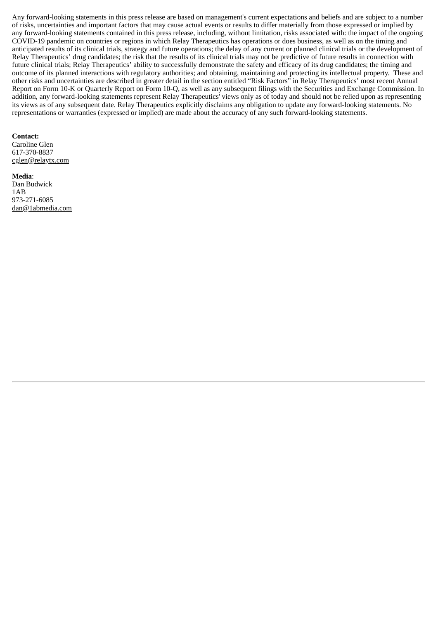Any forward-looking statements in this press release are based on management's current expectations and beliefs and are subject to a number of risks, uncertainties and important factors that may cause actual events or results to differ materially from those expressed or implied by any forward-looking statements contained in this press release, including, without limitation, risks associated with: the impact of the ongoing COVID-19 pandemic on countries or regions in which Relay Therapeutics has operations or does business, as well as on the timing and anticipated results of its clinical trials, strategy and future operations; the delay of any current or planned clinical trials or the development of Relay Therapeutics' drug candidates; the risk that the results of its clinical trials may not be predictive of future results in connection with future clinical trials; Relay Therapeutics' ability to successfully demonstrate the safety and efficacy of its drug candidates; the timing and outcome of its planned interactions with regulatory authorities; and obtaining, maintaining and protecting its intellectual property. These and other risks and uncertainties are described in greater detail in the section entitled "Risk Factors" in Relay Therapeutics' most recent Annual Report on Form 10-K or Quarterly Report on Form 10-Q, as well as any subsequent filings with the Securities and Exchange Commission. In addition, any forward-looking statements represent Relay Therapeutics' views only as of today and should not be relied upon as representing its views as of any subsequent date. Relay Therapeutics explicitly disclaims any obligation to update any forward-looking statements. No representations or warranties (expressed or implied) are made about the accuracy of any such forward-looking statements.

#### **Contact:**

Caroline Glen 617-370-8837 cglen@relaytx.com

#### **Media**: Dan Budwick 1AB 973-271-6085 dan@1abmedia.com